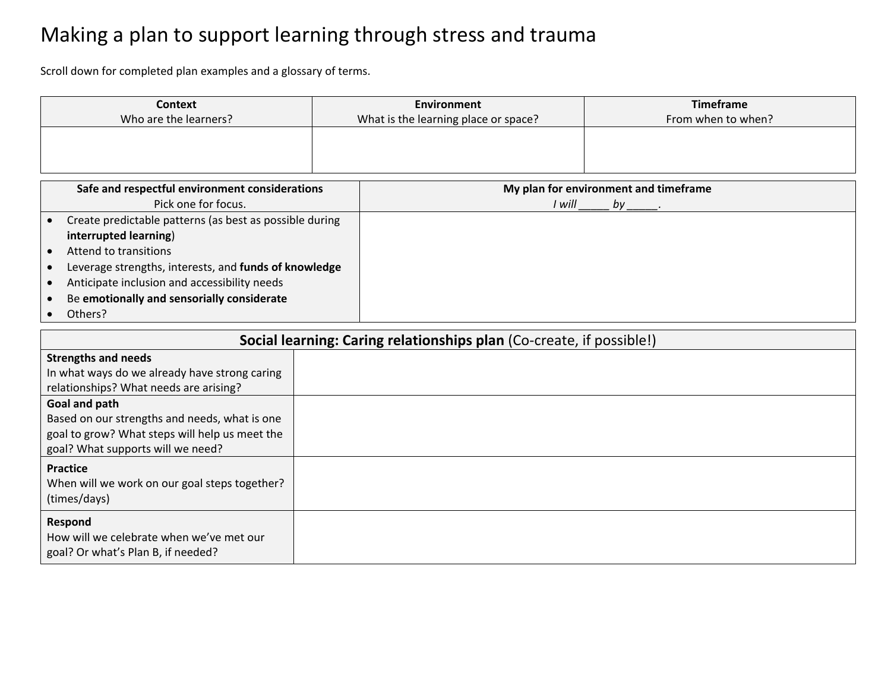## Making a plan to support learning through stress and trauma

Scroll down for completed plan examples and a glossary of terms.

| Context<br>Who are the learners? | Environment<br>What is the learning place or space? | <b>Timeframe</b><br>From when to when? |
|----------------------------------|-----------------------------------------------------|----------------------------------------|
|                                  |                                                     |                                        |
|                                  |                                                     |                                        |

| Safe and respectful environment considerations          | My plan for environment and timeframe |
|---------------------------------------------------------|---------------------------------------|
| Pick one for focus.                                     | I will<br>bν                          |
| Create predictable patterns (as best as possible during |                                       |
| interrupted learning)                                   |                                       |
| Attend to transitions                                   |                                       |
| Leverage strengths, interests, and funds of knowledge   |                                       |
| Anticipate inclusion and accessibility needs            |                                       |
| Be emotionally and sensorially considerate              |                                       |
| Others?                                                 |                                       |

| Social learning: Caring relationships plan (Co-create, if possible!) |  |  |
|----------------------------------------------------------------------|--|--|
| <b>Strengths and needs</b>                                           |  |  |
| In what ways do we already have strong caring                        |  |  |
| relationships? What needs are arising?                               |  |  |
| Goal and path                                                        |  |  |
| Based on our strengths and needs, what is one                        |  |  |
| goal to grow? What steps will help us meet the                       |  |  |
| goal? What supports will we need?                                    |  |  |
| <b>Practice</b>                                                      |  |  |
| When will we work on our goal steps together?                        |  |  |
| (times/days)                                                         |  |  |
| Respond                                                              |  |  |
| How will we celebrate when we've met our                             |  |  |
| goal? Or what's Plan B, if needed?                                   |  |  |
|                                                                      |  |  |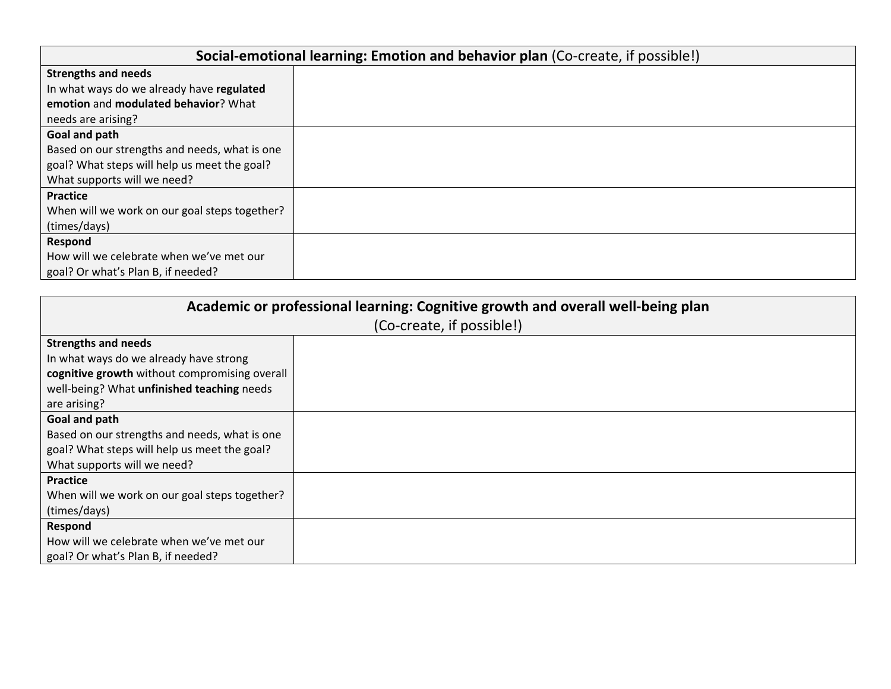| Social-emotional learning: Emotion and behavior plan (Co-create, if possible!) |  |  |
|--------------------------------------------------------------------------------|--|--|
| <b>Strengths and needs</b>                                                     |  |  |
| In what ways do we already have regulated                                      |  |  |
| emotion and modulated behavior? What                                           |  |  |
| needs are arising?                                                             |  |  |
| Goal and path                                                                  |  |  |
| Based on our strengths and needs, what is one                                  |  |  |
| goal? What steps will help us meet the goal?                                   |  |  |
| What supports will we need?                                                    |  |  |
| <b>Practice</b>                                                                |  |  |
| When will we work on our goal steps together?                                  |  |  |
| (times/days)                                                                   |  |  |
| Respond                                                                        |  |  |
| How will we celebrate when we've met our                                       |  |  |
| goal? Or what's Plan B, if needed?                                             |  |  |

| Academic or professional learning: Cognitive growth and overall well-being plan |  |  |
|---------------------------------------------------------------------------------|--|--|
| (Co-create, if possible!)                                                       |  |  |
| <b>Strengths and needs</b>                                                      |  |  |
| In what ways do we already have strong                                          |  |  |
| cognitive growth without compromising overall                                   |  |  |
| well-being? What unfinished teaching needs                                      |  |  |
| are arising?                                                                    |  |  |
| Goal and path                                                                   |  |  |
| Based on our strengths and needs, what is one                                   |  |  |
| goal? What steps will help us meet the goal?                                    |  |  |
| What supports will we need?                                                     |  |  |
| <b>Practice</b>                                                                 |  |  |
| When will we work on our goal steps together?                                   |  |  |
| (times/days)                                                                    |  |  |
| Respond                                                                         |  |  |
| How will we celebrate when we've met our                                        |  |  |
| goal? Or what's Plan B, if needed?                                              |  |  |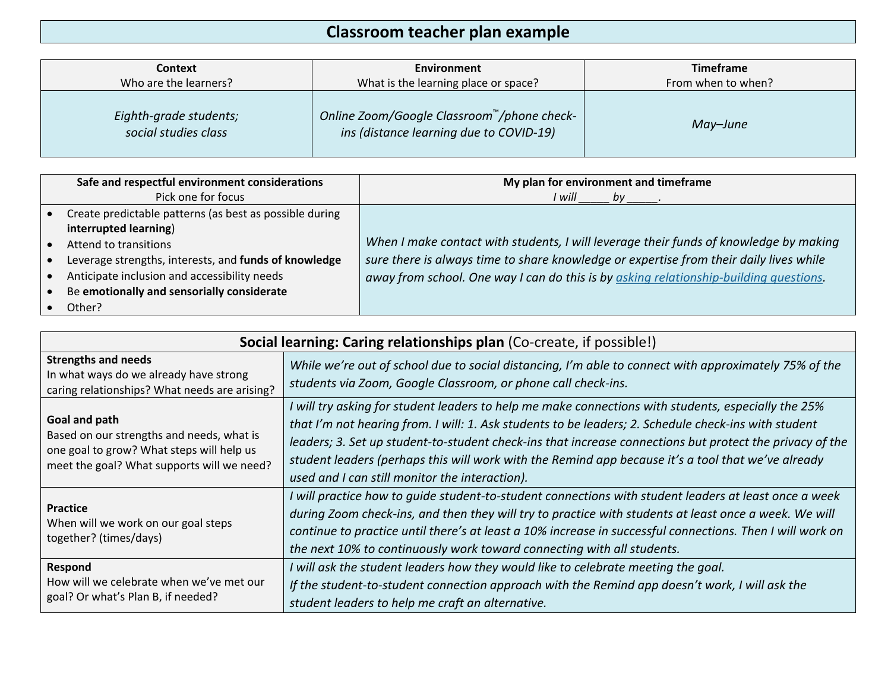### **Classroom teacher plan example**

| <b>Context</b>                                 | Environment                                                                           | <b>Timeframe</b>   |
|------------------------------------------------|---------------------------------------------------------------------------------------|--------------------|
| Who are the learners?                          | What is the learning place or space?                                                  | From when to when? |
| Eighth-grade students;<br>social studies class | Online Zoom/Google Classroom™/phone check-<br>ins (distance learning due to COVID-19) | May-June           |

| Safe and respectful environment considerations          | My plan for environment and timeframe                                                  |
|---------------------------------------------------------|----------------------------------------------------------------------------------------|
| Pick one for focus                                      | l will                                                                                 |
| Create predictable patterns (as best as possible during |                                                                                        |
| interrupted learning)                                   |                                                                                        |
| Attend to transitions                                   | When I make contact with students, I will leverage their funds of knowledge by making  |
| Leverage strengths, interests, and funds of knowledge   | sure there is always time to share knowledge or expertise from their daily lives while |
| Anticipate inclusion and accessibility needs            | away from school. One way I can do this is by asking relationship-building questions.  |
| Be emotionally and sensorially considerate              |                                                                                        |
| Other?                                                  |                                                                                        |

| Social learning: Caring relationships plan (Co-create, if possible!)                                                                                  |                                                                                                                                                                                                                                                                                                                                                                                                                                                                                 |  |  |
|-------------------------------------------------------------------------------------------------------------------------------------------------------|---------------------------------------------------------------------------------------------------------------------------------------------------------------------------------------------------------------------------------------------------------------------------------------------------------------------------------------------------------------------------------------------------------------------------------------------------------------------------------|--|--|
| <b>Strengths and needs</b><br>In what ways do we already have strong<br>caring relationships? What needs are arising?                                 | While we're out of school due to social distancing, I'm able to connect with approximately 75% of the<br>students via Zoom, Google Classroom, or phone call check-ins.                                                                                                                                                                                                                                                                                                          |  |  |
| Goal and path<br>Based on our strengths and needs, what is<br>one goal to grow? What steps will help us<br>meet the goal? What supports will we need? | I will try asking for student leaders to help me make connections with students, especially the 25%<br>that I'm not hearing from. I will: 1. Ask students to be leaders; 2. Schedule check-ins with student<br>leaders; 3. Set up student-to-student check-ins that increase connections but protect the privacy of the<br>student leaders (perhaps this will work with the Remind app because it's a tool that we've already<br>used and I can still monitor the interaction). |  |  |
| <b>Practice</b><br>When will we work on our goal steps<br>together? (times/days)                                                                      | I will practice how to guide student-to-student connections with student leaders at least once a week<br>during Zoom check-ins, and then they will try to practice with students at least once a week. We will<br>continue to practice until there's at least a 10% increase in successful connections. Then I will work on<br>the next 10% to continuously work toward connecting with all students.                                                                           |  |  |
| Respond<br>How will we celebrate when we've met our<br>goal? Or what's Plan B, if needed?                                                             | I will ask the student leaders how they would like to celebrate meeting the goal.<br>If the student-to-student connection approach with the Remind app doesn't work, I will ask the<br>student leaders to help me craft an alternative.                                                                                                                                                                                                                                         |  |  |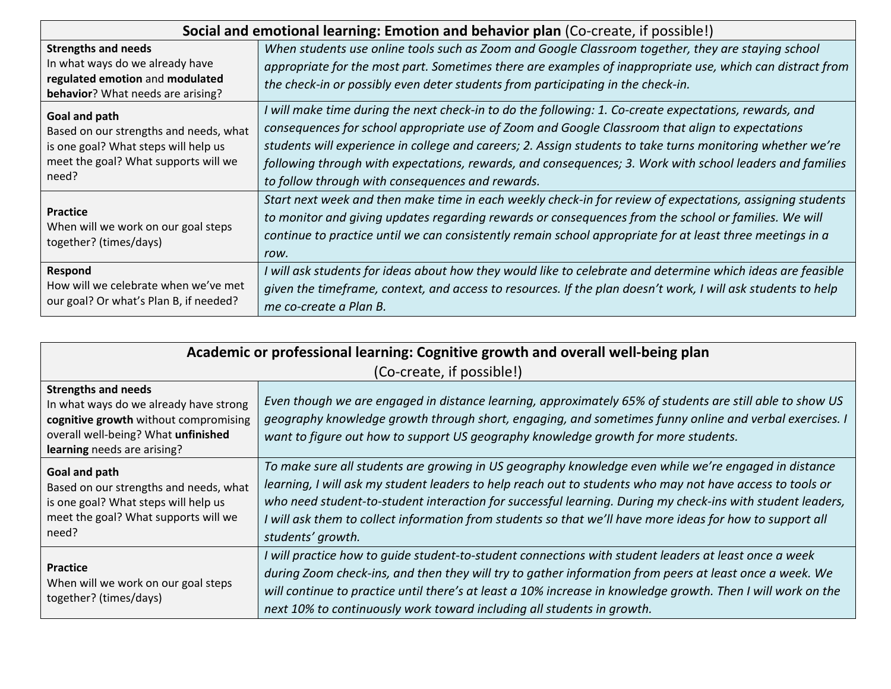| Social and emotional learning: Emotion and behavior plan (Co-create, if possible!) |                                                                                                              |  |  |
|------------------------------------------------------------------------------------|--------------------------------------------------------------------------------------------------------------|--|--|
| <b>Strengths and needs</b>                                                         | When students use online tools such as Zoom and Google Classroom together, they are staying school           |  |  |
| In what ways do we already have                                                    | appropriate for the most part. Sometimes there are examples of inappropriate use, which can distract from    |  |  |
| regulated emotion and modulated                                                    | the check-in or possibly even deter students from participating in the check-in.                             |  |  |
| <b>behavior</b> ? What needs are arising?                                          |                                                                                                              |  |  |
| Goal and path                                                                      | I will make time during the next check-in to do the following: 1. Co-create expectations, rewards, and       |  |  |
| Based on our strengths and needs, what                                             | consequences for school appropriate use of Zoom and Google Classroom that align to expectations              |  |  |
| is one goal? What steps will help us                                               | students will experience in college and careers; 2. Assign students to take turns monitoring whether we're   |  |  |
| meet the goal? What supports will we                                               | following through with expectations, rewards, and consequences; 3. Work with school leaders and families     |  |  |
| need?                                                                              | to follow through with consequences and rewards.                                                             |  |  |
|                                                                                    | Start next week and then make time in each weekly check-in for review of expectations, assigning students    |  |  |
| <b>Practice</b>                                                                    | to monitor and giving updates regarding rewards or consequences from the school or families. We will         |  |  |
| When will we work on our goal steps<br>together? (times/days)                      | continue to practice until we can consistently remain school appropriate for at least three meetings in a    |  |  |
|                                                                                    | row.                                                                                                         |  |  |
| Respond                                                                            | I will ask students for ideas about how they would like to celebrate and determine which ideas are feasible  |  |  |
| How will we celebrate when we've met                                               | given the timeframe, context, and access to resources. If the plan doesn't work, I will ask students to help |  |  |
| our goal? Or what's Plan B, if needed?                                             | me co-create a Plan B.                                                                                       |  |  |

| Academic or professional learning: Cognitive growth and overall well-being plan |                                                                                                              |  |  |
|---------------------------------------------------------------------------------|--------------------------------------------------------------------------------------------------------------|--|--|
| (Co-create, if possible!)                                                       |                                                                                                              |  |  |
| <b>Strengths and needs</b>                                                      |                                                                                                              |  |  |
| In what ways do we already have strong                                          | Even though we are engaged in distance learning, approximately 65% of students are still able to show US     |  |  |
| cognitive growth without compromising                                           | geography knowledge growth through short, engaging, and sometimes funny online and verbal exercises. I       |  |  |
| overall well-being? What unfinished                                             | want to figure out how to support US geography knowledge growth for more students.                           |  |  |
| learning needs are arising?                                                     |                                                                                                              |  |  |
| Goal and path                                                                   | To make sure all students are growing in US geography knowledge even while we're engaged in distance         |  |  |
| Based on our strengths and needs, what                                          | learning, I will ask my student leaders to help reach out to students who may not have access to tools or    |  |  |
| is one goal? What steps will help us                                            | who need student-to-student interaction for successful learning. During my check-ins with student leaders,   |  |  |
| meet the goal? What supports will we                                            | I will ask them to collect information from students so that we'll have more ideas for how to support all    |  |  |
| need?                                                                           | students' growth.                                                                                            |  |  |
|                                                                                 | I will practice how to guide student-to-student connections with student leaders at least once a week        |  |  |
| <b>Practice</b>                                                                 | during Zoom check-ins, and then they will try to gather information from peers at least once a week. We      |  |  |
| When will we work on our goal steps                                             | will continue to practice until there's at least a 10% increase in knowledge growth. Then I will work on the |  |  |
| together? (times/days)                                                          | next 10% to continuously work toward including all students in growth.                                       |  |  |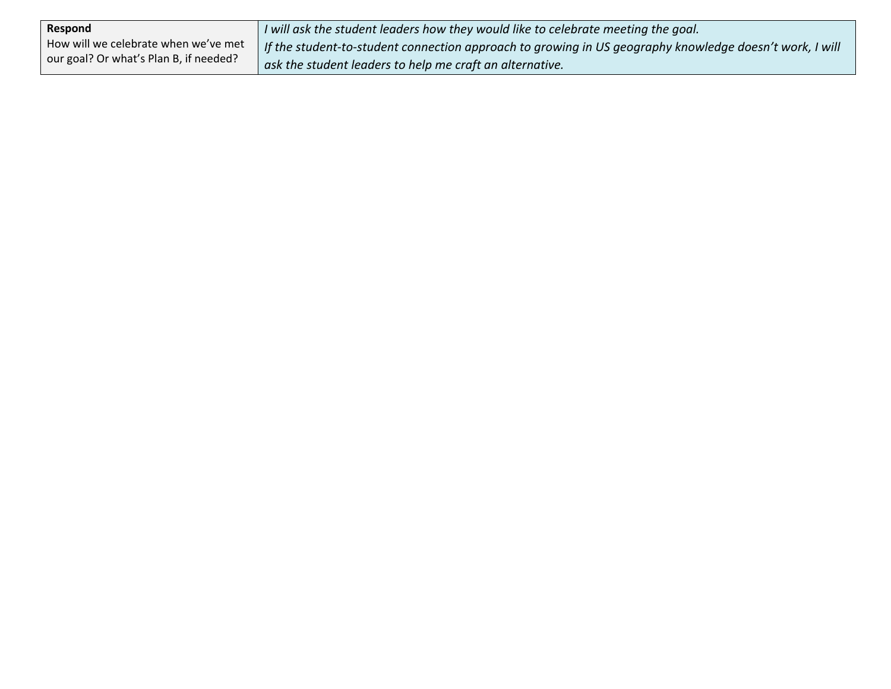| Respond                                | I will ask the student leaders how they would like to celebrate meeting the goal.                       |
|----------------------------------------|---------------------------------------------------------------------------------------------------------|
| How will we celebrate when we've met   | If the student-to-student connection approach to growing in US geography knowledge doesn't work, I will |
| our goal? Or what's Plan B, if needed? | ask the student leaders to help me craft an alternative.                                                |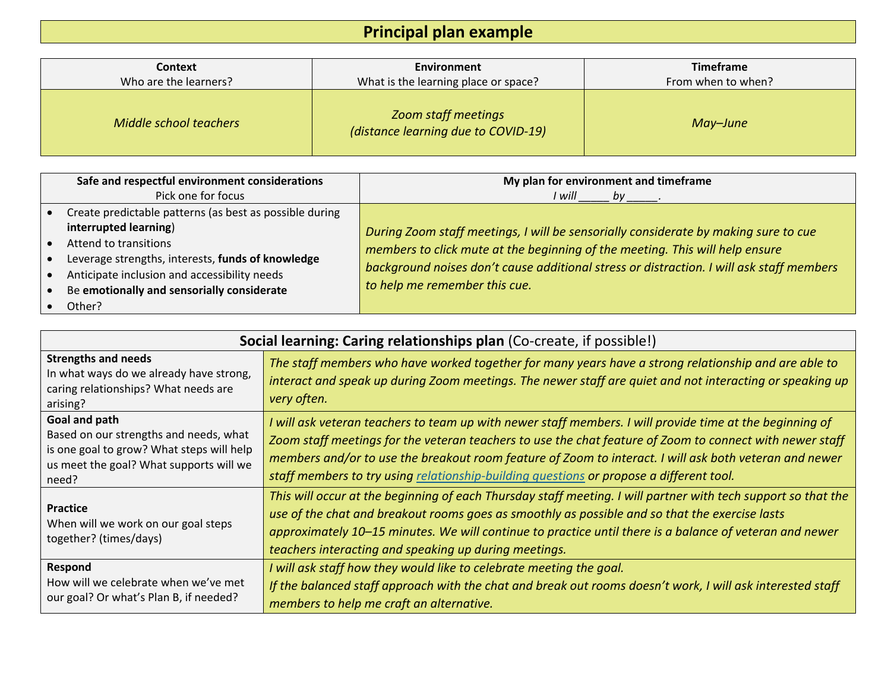### **Principal plan example**

| Context                | Environment                                                       | <b>Timeframe</b>   |
|------------------------|-------------------------------------------------------------------|--------------------|
| Who are the learners?  | What is the learning place or space?                              | From when to when? |
| Middle school teachers | <b>Zoom staff meetings</b><br>(distance learning due to COVID-19) | May-June           |

| Safe and respectful environment considerations                                                                                                  | My plan for environment and timeframe                                                                                                                                                                                                                                                            |
|-------------------------------------------------------------------------------------------------------------------------------------------------|--------------------------------------------------------------------------------------------------------------------------------------------------------------------------------------------------------------------------------------------------------------------------------------------------|
| Pick one for focus                                                                                                                              | I will                                                                                                                                                                                                                                                                                           |
| Create predictable patterns (as best as possible during                                                                                         |                                                                                                                                                                                                                                                                                                  |
| interrupted learning)<br>Attend to transitions                                                                                                  | During Zoom staff meetings, I will be sensorially considerate by making sure to cue<br>members to click mute at the beginning of the meeting. This will help ensure<br>background noises don't cause additional stress or distraction. I will ask staff members<br>to help me remember this cue. |
| Leverage strengths, interests, funds of knowledge<br>Anticipate inclusion and accessibility needs<br>Be emotionally and sensorially considerate |                                                                                                                                                                                                                                                                                                  |
| Other?                                                                                                                                          |                                                                                                                                                                                                                                                                                                  |

| Social learning: Caring relationships plan (Co-create, if possible!)                                                                                     |                                                                                                                                                                                                                                                                                                                                                                                                                           |  |  |
|----------------------------------------------------------------------------------------------------------------------------------------------------------|---------------------------------------------------------------------------------------------------------------------------------------------------------------------------------------------------------------------------------------------------------------------------------------------------------------------------------------------------------------------------------------------------------------------------|--|--|
| <b>Strengths and needs</b><br>In what ways do we already have strong,<br>caring relationships? What needs are<br>arising?                                | The staff members who have worked together for many years have a strong relationship and are able to<br>interact and speak up during Zoom meetings. The newer staff are quiet and not interacting or speaking up<br>very often.                                                                                                                                                                                           |  |  |
| Goal and path<br>Based on our strengths and needs, what<br>is one goal to grow? What steps will help<br>us meet the goal? What supports will we<br>need? | I will ask veteran teachers to team up with newer staff members. I will provide time at the beginning of<br>Zoom staff meetings for the veteran teachers to use the chat feature of Zoom to connect with newer staff<br>members and/or to use the breakout room feature of Zoom to interact. I will ask both veteran and newer<br>staff members to try using relationship-building questions or propose a different tool. |  |  |
| <b>Practice</b><br>When will we work on our goal steps<br>together? (times/days)                                                                         | This will occur at the beginning of each Thursday staff meeting. I will partner with tech support so that the<br>use of the chat and breakout rooms goes as smoothly as possible and so that the exercise lasts<br>approximately 10-15 minutes. We will continue to practice until there is a balance of veteran and newer<br>teachers interacting and speaking up during meetings.                                       |  |  |
| Respond<br>How will we celebrate when we've met<br>our goal? Or what's Plan B, if needed?                                                                | I will ask staff how they would like to celebrate meeting the goal.<br>If the balanced staff approach with the chat and break out rooms doesn't work, I will ask interested staff<br>members to help me craft an alternative.                                                                                                                                                                                             |  |  |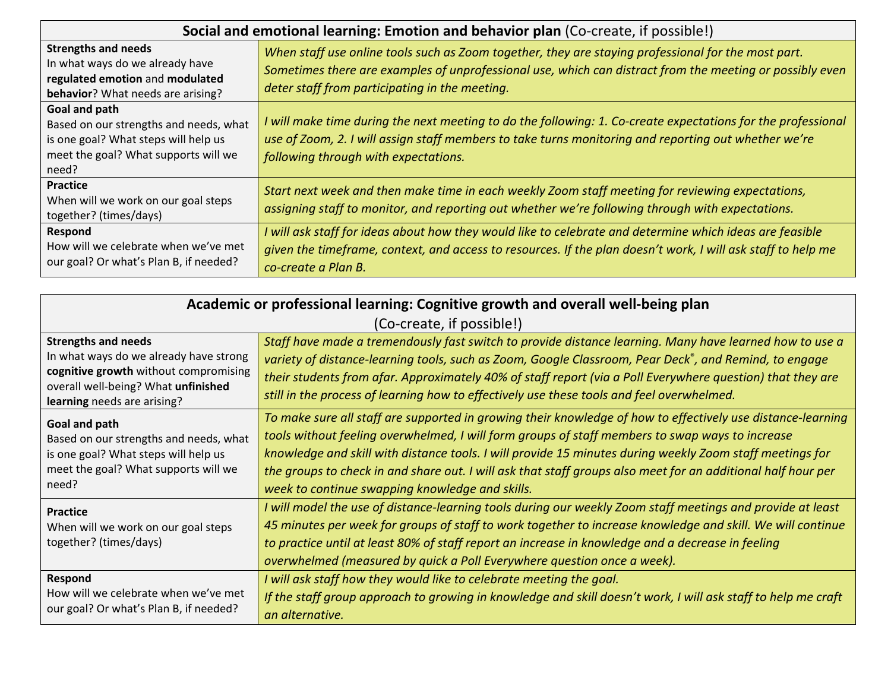| Social and emotional learning: Emotion and behavior plan (Co-create, if possible!)                                                               |                                                                                                                                                                                                                                                                   |  |
|--------------------------------------------------------------------------------------------------------------------------------------------------|-------------------------------------------------------------------------------------------------------------------------------------------------------------------------------------------------------------------------------------------------------------------|--|
| <b>Strengths and needs</b><br>In what ways do we already have<br>regulated emotion and modulated<br>behavior? What needs are arising?            | When staff use online tools such as Zoom together, they are staying professional for the most part.<br>Sometimes there are examples of unprofessional use, which can distract from the meeting or possibly even<br>deter staff from participating in the meeting. |  |
| Goal and path<br>Based on our strengths and needs, what<br>is one goal? What steps will help us<br>meet the goal? What supports will we<br>need? | I will make time during the next meeting to do the following: 1. Co-create expectations for the professional<br>use of Zoom, 2. I will assign staff members to take turns monitoring and reporting out whether we're<br>following through with expectations.      |  |
| <b>Practice</b><br>When will we work on our goal steps<br>together? (times/days)                                                                 | Start next week and then make time in each weekly Zoom staff meeting for reviewing expectations,<br>assigning staff to monitor, and reporting out whether we're following through with expectations.                                                              |  |
| Respond<br>How will we celebrate when we've met<br>our goal? Or what's Plan B, if needed?                                                        | I will ask staff for ideas about how they would like to celebrate and determine which ideas are feasible<br>given the timeframe, context, and access to resources. If the plan doesn't work, I will ask staff to help me<br>co-create a Plan B.                   |  |

| Academic or professional learning: Cognitive growth and overall well-being plan                                                                                                     |                                                                                                                                                                                                                                                                                                                                                                                                                                                                                               |  |  |
|-------------------------------------------------------------------------------------------------------------------------------------------------------------------------------------|-----------------------------------------------------------------------------------------------------------------------------------------------------------------------------------------------------------------------------------------------------------------------------------------------------------------------------------------------------------------------------------------------------------------------------------------------------------------------------------------------|--|--|
| (Co-create, if possible!)                                                                                                                                                           |                                                                                                                                                                                                                                                                                                                                                                                                                                                                                               |  |  |
| <b>Strengths and needs</b><br>In what ways do we already have strong<br>cognitive growth without compromising<br>overall well-being? What unfinished<br>learning needs are arising? | Staff have made a tremendously fast switch to provide distance learning. Many have learned how to use a<br>variety of distance-learning tools, such as Zoom, Google Classroom, Pear Deck®, and Remind, to engage<br>their students from afar. Approximately 40% of staff report (via a Poll Everywhere question) that they are<br>still in the process of learning how to effectively use these tools and feel overwhelmed.                                                                   |  |  |
| Goal and path<br>Based on our strengths and needs, what<br>is one goal? What steps will help us<br>meet the goal? What supports will we<br>need?                                    | To make sure all staff are supported in growing their knowledge of how to effectively use distance-learning<br>tools without feeling overwhelmed, I will form groups of staff members to swap ways to increase<br>knowledge and skill with distance tools. I will provide 15 minutes during weekly Zoom staff meetings for<br>the groups to check in and share out. I will ask that staff groups also meet for an additional half hour per<br>week to continue swapping knowledge and skills. |  |  |
| <b>Practice</b><br>When will we work on our goal steps<br>together? (times/days)                                                                                                    | I will model the use of distance-learning tools during our weekly Zoom staff meetings and provide at least<br>45 minutes per week for groups of staff to work together to increase knowledge and skill. We will continue<br>to practice until at least 80% of staff report an increase in knowledge and a decrease in feeling<br>overwhelmed (measured by quick a Poll Everywhere question once a week).                                                                                      |  |  |
| Respond<br>How will we celebrate when we've met<br>our goal? Or what's Plan B, if needed?                                                                                           | I will ask staff how they would like to celebrate meeting the goal.<br>If the staff group approach to growing in knowledge and skill doesn't work, I will ask staff to help me craft<br>an alternative.                                                                                                                                                                                                                                                                                       |  |  |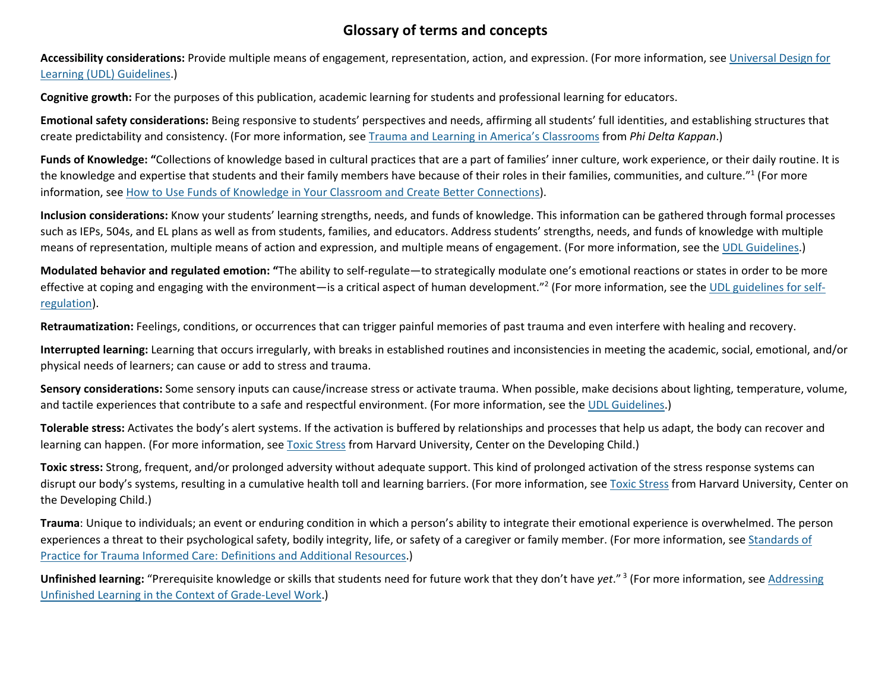#### **Glossary of terms and concepts**

**Accessibility considerations:** Provide multiple means of engagement, representation, action, and expression. (For more information, see [Universal Design for](http://udlguidelines.cast.org/)  [Learning \(UDL\) Guidelines.](http://udlguidelines.cast.org/))

**Cognitive growth:** For the purposes of this publication, academic learning for students and professional learning for educators.

**Emotional safety considerations:** Being responsive to students' perspectives and needs, affirming all students' full identities, and establishing structures that create predictability and consistency. (For more information, see [Trauma and Learning in America's Classrooms](http://www.pdkmembers.org/members_online/publications/archive/pdf/PDK_98_6/35pdk_98_6.pdf) from *Phi Delta Kappan*.)

**Funds of Knowledge: "**Collections of knowledge based in cultural practices that are a part of families' inner culture, work experience, or their daily routine. It is the knowledge and expertise that students and their family members have because of their roles in their families, communities, and culture."1 (For more information, see [How to Use Funds of Knowledge in Your Classroom and Create Better Connections\)](https://www.notimeforflashcards.com/2018/02/funds-of-knowledge.html).

**Inclusion considerations:** Know your students' learning strengths, needs, and funds of knowledge. This information can be gathered through formal processes such as IEPs, 504s, and EL plans as well as from students, families, and educators. Address students' strengths, needs, and funds of knowledge with multiple means of representation, multiple means of action and expression, and multiple means of engagement. (For more information, see the UDL [Guidelines.](http://udlguidelines.cast.org/))

**Modulated behavior and regulated emotion: "**The ability to self-regulate—to strategically modulate one's emotional reactions or states in order to be more effective at coping and engaging with the environment—is a critical aspect of human development."<sup>2</sup> (For more information, see th[e UDL guidelines for self](http://udlguidelines.cast.org/)[regulation\)](http://udlguidelines.cast.org/).

**Retraumatization:** Feelings, conditions, or occurrences that can trigger painful memories of past trauma and even interfere with healing and recovery.

**Interrupted learning:** Learning that occurs irregularly, with breaks in established routines and inconsistencies in meeting the academic, social, emotional, and/or physical needs of learners; can cause or add to stress and trauma.

**Sensory considerations:** Some sensory inputs can cause/increase stress or activate trauma. When possible, make decisions about lighting, temperature, volume, and tactile experiences that contribute to a safe and respectful environment. (For more information, see the [UDL Guidelines.](http://udlguidelines.cast.org/))

**Tolerable stress:** Activates the body's alert systems. If the activation is buffered by relationships and processes that help us adapt, the body can recover and learning can happen. (For more information, see [Toxic Stress](https://developingchild.harvard.edu/science/key-concepts/toxic-stress/) from Harvard University, Center on the Developing Child.)

**Toxic stress:** Strong, frequent, and/or prolonged adversity without adequate support. This kind of prolonged activation of the stress response systems can disrupt our body's systems, resulting in a cumulative health toll and learning barriers. (For more information, see [Toxic Stress](https://developingchild.harvard.edu/science/key-concepts/toxic-stress/) from Harvard University, Center on the Developing Child.)

**Trauma**: Unique to individuals; an event or enduring condition in which a person's ability to integrate their emotional experience is overwhelmed. The person experiences a threat to their psychological safety, bodily integrity, life, or safety of a caregiver or family member. (For more information, see [Standards of](https://traumainformedoregon.org/wp-content/uploads/2017/07/Definitions-and-Additional-Resources-for-Standards-of-Practice-7.31.17.pdf)  [Practice for Trauma Informed Care: Definitions and Additional Resources.](https://traumainformedoregon.org/wp-content/uploads/2017/07/Definitions-and-Additional-Resources-for-Standards-of-Practice-7.31.17.pdf))

**Unfinished learning:** "Prerequisite knowledge or skills that students need for future work that they don't have *yet*." <sup>3</sup> (For more information, see [Addressing](https://achievethecore.org/aligned/addressing-unfinished-learning-context-grade-level-work/)  [Unfinished Learning in the Context of Grade-Level Work.](https://achievethecore.org/aligned/addressing-unfinished-learning-context-grade-level-work/))